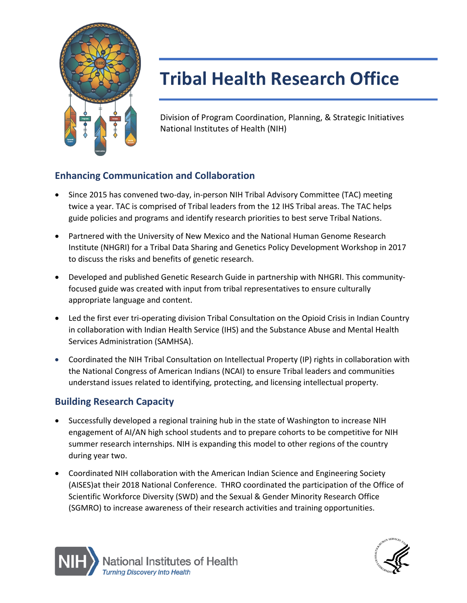

# **Tribal Health Research Office**

Division of Program Coordination, Planning, & Strategic Initiatives National Institutes of Health (NIH)

## **Enhancing Communication and Collaboration**

- twice a year. TAC is comprised of Tribal leaders from the 12 IHS Tribal areas. The TAC helps • Since 2015 has convened two-day, in-person NIH Tribal Advisory Committee (TAC) meeting guide policies and programs and identify research priorities to best serve Tribal Nations.
- Partnered with the University of New Mexico and the National Human Genome Research Institute (NHGRI) for a Tribal Data Sharing and Genetics Policy Development Workshop in 2017 to discuss the risks and benefits of genetic research.
- Developed and published Genetic Research Guide in partnership with NHGRI. This communityfocused guide was created with input from tribal representatives to ensure culturally appropriate language and content.
- Services Administration (SAMHSA). • Led the first ever tri-operating division Tribal Consultation on the Opioid Crisis in Indian Country in collaboration with Indian Health Service (IHS) and the Substance Abuse and Mental Health
- • Coordinated the NIH Tribal Consultation on Intellectual Property (IP) rights in collaboration with the National Congress of American Indians (NCAI) to ensure Tribal leaders and communities understand issues related to identifying, protecting, and licensing intellectual property.

### **Building Research Capacity**

- engagement of AI/AN high school students and to prepare cohorts to be competitive for NIH • Successfully developed a regional training hub in the state of Washington to increase NIH summer research internships. NIH is expanding this model to other regions of the country during year two.
- Scientific Workforce Diversity (SWD) and the Sexual & Gender Minority Research Office (SGMRO) to increase awareness of their research activities and training opportunities. • Coordinated NIH collaboration with the American Indian Science and Engineering Society (AISES)at their 2018 National Conference. THRO coordinated the participation of the Office of